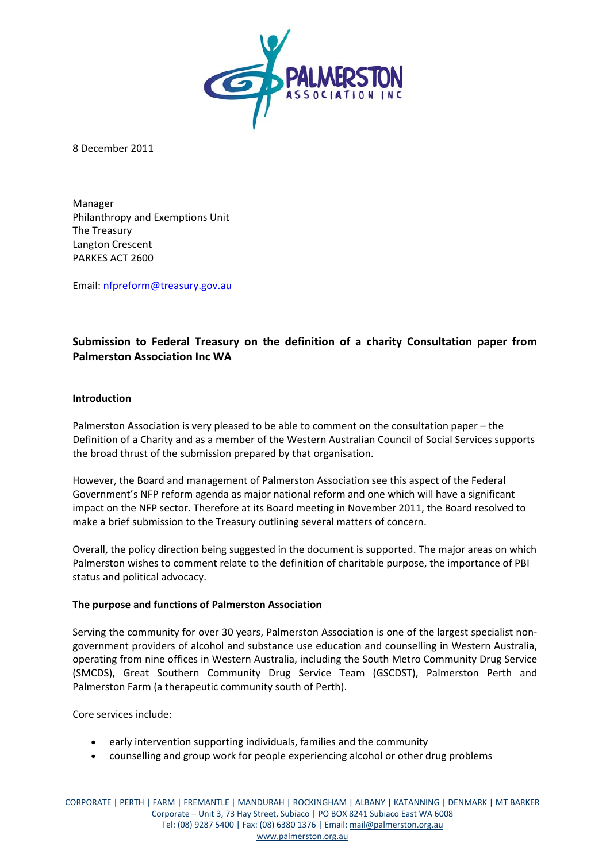

8 December 2011

Manager Philanthropy and Exemptions Unit The Treasury Langton Crescent PARKES ACT 2600

Email: [nfpreform@treasury.gov.au](mailto:nfpreform@treasury.gov.au)

# **Submission to Federal Treasury on the definition of a charity Consultation paper from Palmerston Association Inc WA**

## **Introduction**

Palmerston Association is very pleased to be able to comment on the consultation paper – the Definition of a Charity and as a member of the Western Australian Council of Social Services supports the broad thrust of the submission prepared by that organisation.

However, the Board and management of Palmerston Association see this aspect of the Federal Government's NFP reform agenda as major national reform and one which will have a significant impact on the NFP sector. Therefore at its Board meeting in November 2011, the Board resolved to make a brief submission to the Treasury outlining several matters of concern.

Overall, the policy direction being suggested in the document is supported. The major areas on which Palmerston wishes to comment relate to the definition of charitable purpose, the importance of PBI status and political advocacy.

# **The purpose and functions of Palmerston Association**

Serving the community for over 30 years, Palmerston Association is one of the largest specialist non‐ government providers of alcohol and substance use education and counselling in Western Australia, operating from nine offices in Western Australia, including the South Metro Community Drug Service (SMCDS), Great Southern Community Drug Service Team (GSCDST), Palmerston Perth and Palmerston Farm (a therapeutic community south of Perth).

Core services include:

- early intervention supporting individuals, families and the community
- counselling and group work for people experiencing alcohol or other drug problems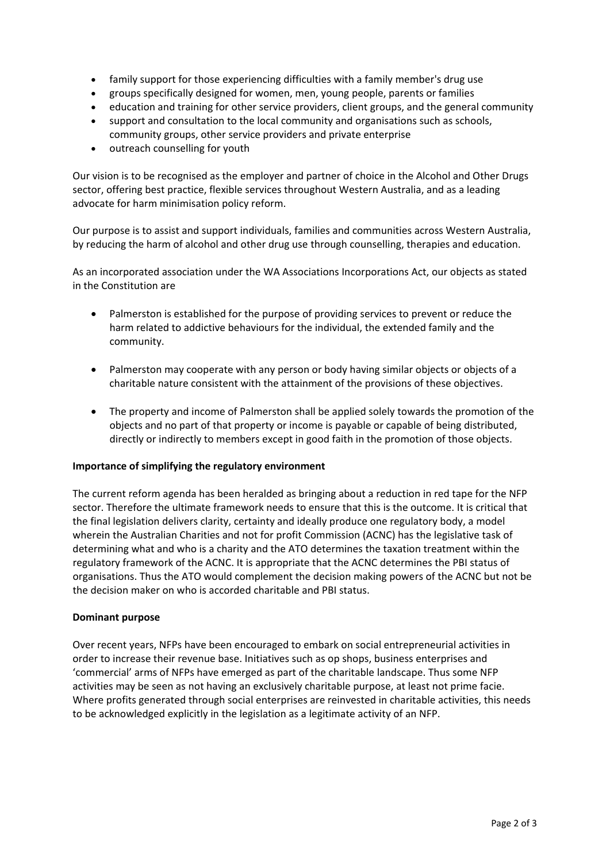- family support for those experiencing difficulties with a family member's drug use
- groups specifically designed for women, men, young people, parents or families
- education and training for other service providers, client groups, and the general community
- support and consultation to the local community and organisations such as schools, community groups, other service providers and private enterprise
- outreach counselling for youth

Our vision is to be recognised as the employer and partner of choice in the Alcohol and Other Drugs sector, offering best practice, flexible services throughout Western Australia, and as a leading advocate for harm minimisation policy reform.

Our purpose is to assist and support individuals, families and communities across Western Australia, by reducing the harm of alcohol and other drug use through counselling, therapies and education.

As an incorporated association under the WA Associations Incorporations Act, our objects as stated in the Constitution are

- Palmerston is established for the purpose of providing services to prevent or reduce the harm related to addictive behaviours for the individual, the extended family and the community.
- Palmerston may cooperate with any person or body having similar objects or objects of a charitable nature consistent with the attainment of the provisions of these objectives.
- The property and income of Palmerston shall be applied solely towards the promotion of the objects and no part of that property or income is payable or capable of being distributed, directly or indirectly to members except in good faith in the promotion of those objects.

# **Importance of simplifying the regulatory environment**

The current reform agenda has been heralded as bringing about a reduction in red tape for the NFP sector. Therefore the ultimate framework needs to ensure that this is the outcome. It is critical that the final legislation delivers clarity, certainty and ideally produce one regulatory body, a model wherein the Australian Charities and not for profit Commission (ACNC) has the legislative task of determining what and who is a charity and the ATO determines the taxation treatment within the regulatory framework of the ACNC. It is appropriate that the ACNC determines the PBI status of organisations. Thus the ATO would complement the decision making powers of the ACNC but not be the decision maker on who is accorded charitable and PBI status.

#### **Dominant purpose**

Over recent years, NFPs have been encouraged to embark on social entrepreneurial activities in order to increase their revenue base. Initiatives such as op shops, business enterprises and 'commercial' arms of NFPs have emerged as part of the charitable landscape. Thus some NFP activities may be seen as not having an exclusively charitable purpose, at least not prime facie. Where profits generated through social enterprises are reinvested in charitable activities, this needs to be acknowledged explicitly in the legislation as a legitimate activity of an NFP.